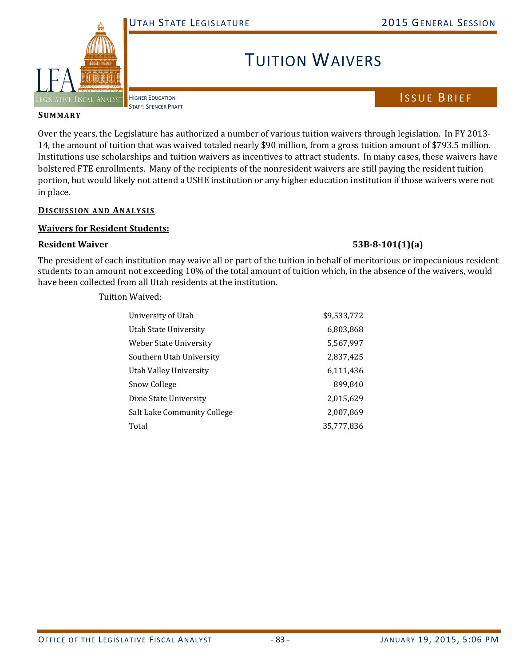

TUITION WAIVERS

HIGHER EDUCATION STAFF: SPENCER PRATT

## **SUMMARY**

Over the years, the Legislature has authorized a number of various tuition waivers through legislation. In FY 2013-14, the amount of tuition that was waived totaled nearly \$90 million, from a gross tuition amount of \$793.5 million. Institutions use scholarships and tuition waivers as incentives to attract students. In many cases, these waivers have bolstered FTE enrollments. Many of the recipients of the nonresident waivers are still paying the resident tuition portion, but would likely not attend a USHE institution or any higher education institution if those waivers were not in place.

## **DISCUSSION AND ANALYSIS**

## **Waivers for Resident Students:**

## **Resident Waiver 53B‐8‐101(1)(a)**

The president of each institution may waive all or part of the tuition in behalf of meritorious or impecunious resident students to an amount not exceeding 10% of the total amount of tuition which, in the absence of the waivers, would have been collected from all Utah residents at the institution.

Tuition Waived: 

| University of Utah          | \$9,533,772 |
|-----------------------------|-------------|
| Utah State University       | 6,803,868   |
| Weber State University      | 5,567,997   |
| Southern Utah University    | 2,837,425   |
| Utah Valley University      | 6,111,436   |
| <b>Snow College</b>         | 899,840     |
| Dixie State University      | 2,015,629   |
| Salt Lake Community College | 2,007,869   |
| Total                       | 35,777,836  |

ISSUE BRIEF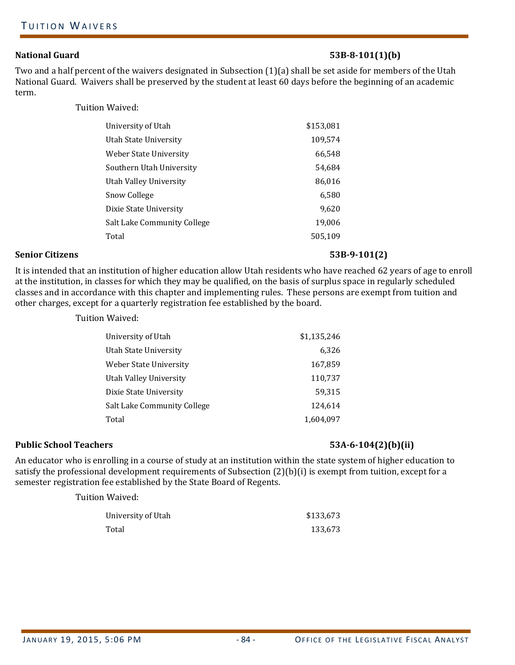## **National Guard 53B‐8‐101(1)(b)**

Two and a half percent of the waivers designated in Subsection (1)(a) shall be set aside for members of the Utah National Guard. Waivers shall be preserved by the student at least 60 days before the beginning of an academic term. 

Tuition Waived: 

| University of Utah          | \$153,081 |
|-----------------------------|-----------|
| Utah State University       | 109,574   |
| Weber State University      | 66,548    |
| Southern Utah University    | 54,684    |
| Utah Valley University      | 86,016    |
| Snow College                | 6,580     |
| Dixie State University      | 9,620     |
| Salt Lake Community College | 19,006    |
| Total                       | 505,109   |
|                             |           |

#### **Senior Citizens 53B‐9‐101(2)**

It is intended that an institution of higher education allow Utah residents who have reached 62 years of age to enroll at the institution, in classes for which they may be qualified, on the basis of surplus space in regularly scheduled classes and in accordance with this chapter and implementing rules. These persons are exempt from tuition and other charges, except for a quarterly registration fee established by the board.

Tuition Waived: 

| University of Utah          | \$1,135,246 |
|-----------------------------|-------------|
| Utah State University       | 6,326       |
| Weber State University      | 167,859     |
| Utah Vallev Universitv      | 110,737     |
| Dixie State University      | 59,315      |
| Salt Lake Community College | 124,614     |
| Total                       | 1,604,097   |

### **Public School Teachers 53A‐6‐104(2)(b)(ii)**

An educator who is enrolling in a course of study at an institution within the state system of higher education to satisfy the professional development requirements of Subsection  $(2)(b)(i)$  is exempt from tuition, except for a semester registration fee established by the State Board of Regents.

| University of Utah | \$133,673 |
|--------------------|-----------|
| Total              | 133,673   |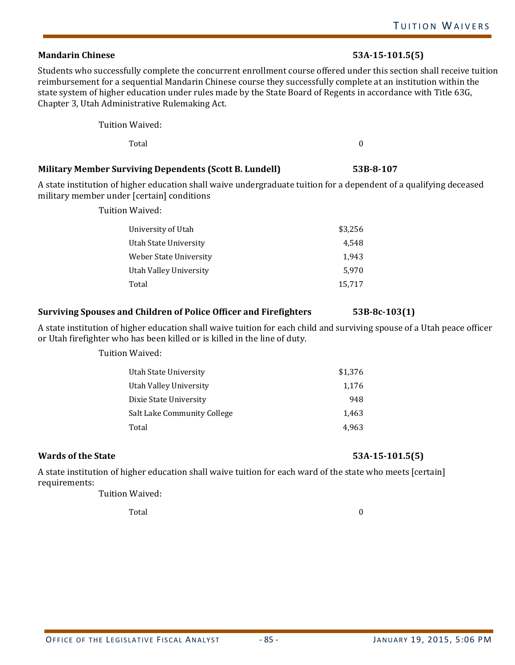# **Mandarin Chinese 53A‐15‐101.5(5)**

Students who successfully complete the concurrent enrollment course offered under this section shall receive tuition reimbursement for a sequential Mandarin Chinese course they successfully complete at an institution within the state system of higher education under rules made by the State Board of Regents in accordance with Title 63G, Chapter 3, Utah Administrative Rulemaking Act.

Tuition Waived: 

 $\Gamma$ otal $\qquad \qquad \qquad 0$ 

# **Military Member Surviving Dependents (Scott B. Lundell) 53B‐8‐107**

A state institution of higher education shall waive undergraduate tuition for a dependent of a qualifying deceased military member under [certain] conditions

Tuition Waived: 

| \$3,256 |
|---------|
| 4.548   |
| 1.943   |
| 5.970   |
| 15,717  |
|         |

# **Surviving Spouses and Children of Police Officer and Firefighters 53B‐8c‐103(1)**

A state institution of higher education shall waive tuition for each child and surviving spouse of a Utah peace officer or Utah firefighter who has been killed or is killed in the line of duty.

Tuition Waived: 

| Utah State Universitv       | \$1,376 |
|-----------------------------|---------|
| Utah Valley University      | 1,176   |
| Dixie State University      | 948     |
| Salt Lake Community College | 1,463   |
| Total                       | 4.963   |

# **Wards** of the State **53A·15·101.5(5)**

A state institution of higher education shall waive tuition for each ward of the state who meets [certain] requirements: 

Tuition Waived: 

Total 0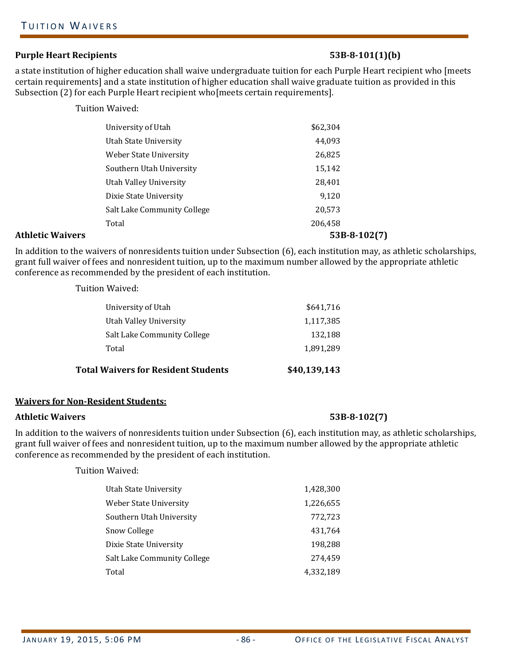### **Purple Heart Recipients 53B‐8‐101(1)(b)**

a state institution of higher education shall waive undergraduate tuition for each Purple Heart recipient who [meets certain requirements] and a state institution of higher education shall waive graduate tuition as provided in this Subsection  $(2)$  for each Purple Heart recipient who meets certain requirements].

Tuition Waived: 

| <b>Athletic Waivers</b> |                               | $53B-8-102(7)$ |
|-------------------------|-------------------------------|----------------|
|                         | Total                         | 206,458        |
|                         | Salt Lake Community College   | 20,573         |
|                         | Dixie State University        | 9,120          |
|                         | Utah Valley University        | 28,401         |
|                         | Southern Utah University      | 15,142         |
|                         | <b>Weber State University</b> | 26,825         |
|                         | Utah State University         | 44,093         |
|                         | University of Utah            | \$62,304       |
|                         |                               |                |

In addition to the waivers of nonresidents tuition under Subsection (6), each institution may, as athletic scholarships, grant full waiver of fees and nonresident tuition, up to the maximum number allowed by the appropriate athletic conference as recommended by the president of each institution.

Tuition Waived: 

| <b>Total Waivers for Resident Students</b> | \$40,139,143 |
|--------------------------------------------|--------------|
| Total                                      | 1,891,289    |
| Salt Lake Community College                | 132,188      |
| Utah Valley University                     | 1,117,385    |
| University of Utah                         | \$641,716    |

### **Waivers for Non‐Resident Students:**

#### **Athletic Waivers 53B‐8‐102(7)**

In addition to the waivers of nonresidents tuition under Subsection (6), each institution may, as athletic scholarships, grant full waiver of fees and nonresident tuition, up to the maximum number allowed by the appropriate athletic conference as recommended by the president of each institution.

| <b>Utah State University</b> | 1,428,300 |
|------------------------------|-----------|
| Weber State University       | 1,226,655 |
| Southern Utah University     | 772,723   |
| Snow College                 | 431,764   |
| Dixie State University       | 198,288   |
| Salt Lake Community College  | 274.459   |
| Total                        | 4,332,189 |
|                              |           |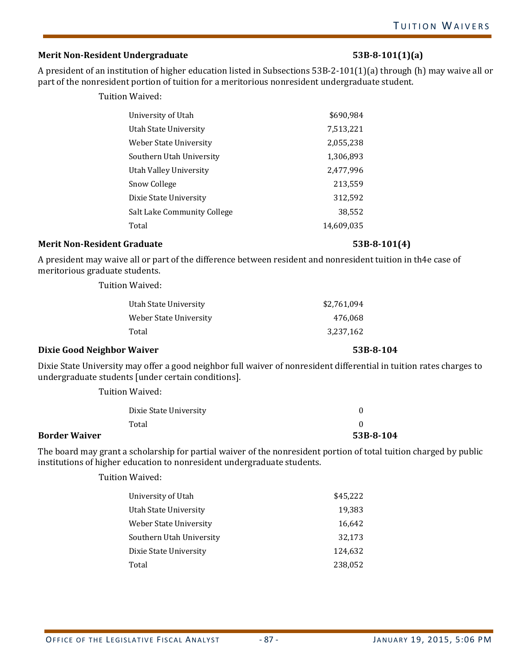# **Merit Non‐Resident Undergraduate 53B‐8‐101(1)(a)**

A president of an institution of higher education listed in Subsections  $53B-2-101(1)(a)$  through (h) may waive all or part of the nonresident portion of tuition for a meritorious nonresident undergraduate student.

Tuition Waived: 

| University of Utah            | \$690,984  |
|-------------------------------|------------|
| Utah State University         | 7,513,221  |
| <b>Weber State University</b> | 2,055,238  |
| Southern Utah University      | 1,306,893  |
| <b>Utah Valley University</b> | 2,477,996  |
| <b>Snow College</b>           | 213,559    |
| Dixie State University        | 312,592    |
| Salt Lake Community College   | 38,552     |
| Total                         | 14,609,035 |

### **Merit Non‐Resident Graduate 53B‐8‐101(4)**

A president may waive all or part of the difference between resident and nonresident tuition in th4e case of meritorious graduate students.

Tuition Waived: 

| \$2,761,094 |
|-------------|
| 476,068     |
| 3.237.162   |
|             |

### **Dixie Good Neighbor Waiver 53B‐8‐104**

Dixie State University may offer a good neighbor full waiver of nonresident differential in tuition rates charges to undergraduate students [under certain conditions].

Tuition Waived: 

|                      | Dixie State University |           |
|----------------------|------------------------|-----------|
|                      | Total                  |           |
| <b>Border Waiver</b> |                        | 53B-8-104 |

The board may grant a scholarship for partial waiver of the nonresident portion of total tuition charged by public institutions of higher education to nonresident undergraduate students.

| University of Utah       | \$45,222 |
|--------------------------|----------|
| Utah State University    | 19,383   |
| Weber State University   | 16,642   |
| Southern Utah University | 32,173   |
| Dixie State University   | 124,632  |
| Total                    | 238,052  |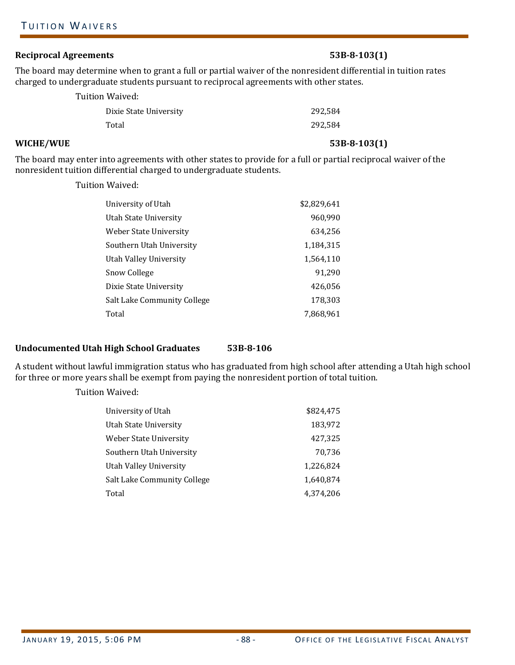# **Reciprocal Agreements 53B‐8‐103(1)**

The board may determine when to grant a full or partial waiver of the nonresident differential in tuition rates charged to undergraduate students pursuant to reciprocal agreements with other states.

| Tuition Waived:        |         |
|------------------------|---------|
| Dixie State University | 292,584 |
| Total                  | 292,584 |

# **WICHE/WUE 53B‐8‐103(1)**

The board may enter into agreements with other states to provide for a full or partial reciprocal waiver of the nonresident tuition differential charged to undergraduate students.

Tuition Waived: 

| University of Utah          | \$2,829,641 |
|-----------------------------|-------------|
| Utah State University       | 960,990     |
| Weber State University      | 634,256     |
| Southern Utah University    | 1,184,315   |
| Utah Valley University      | 1,564,110   |
| Snow College                | 91,290      |
| Dixie State University      | 426,056     |
| Salt Lake Community College | 178,303     |
| Total                       | 7,868,961   |

## **Undocumented Utah High School Graduates 53B‐8‐106**

A student without lawful immigration status who has graduated from high school after attending a Utah high school for three or more years shall be exempt from paying the nonresident portion of total tuition.

Tuition Waived: 

| University of Utah          | \$824,475 |
|-----------------------------|-----------|
| Utah State Universitv       | 183,972   |
| Weber State Universitv      | 427,325   |
| Southern Utah University    | 70,736    |
| Utah Valley University      | 1,226,824 |
| Salt Lake Community College | 1,640,874 |
| Total                       | 4,374,206 |
|                             |           |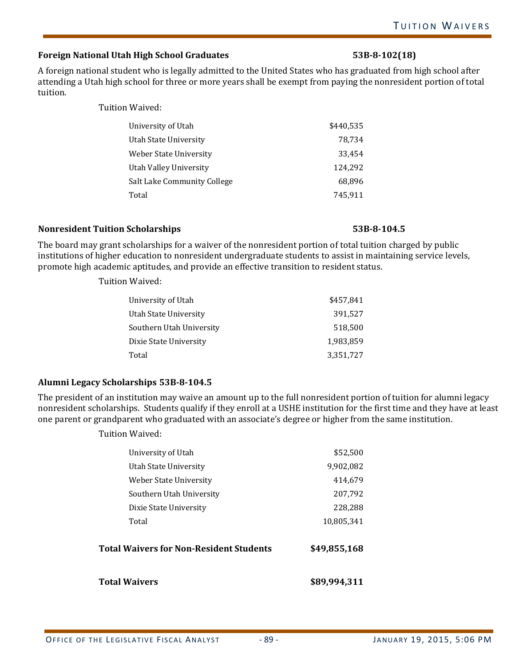# **Foreign National Utah High School Graduates 53B‐8‐102(18)**

A foreign national student who is legally admitted to the United States who has graduated from high school after attending a Utah high school for three or more years shall be exempt from paying the nonresident portion of total tuition. 

Tuition Waived: 

| University of Utah          | \$440,535 |
|-----------------------------|-----------|
| Utah State University       | 78,734    |
| Weber State University      | 33,454    |
| Utah Valley University      | 124,292   |
| Salt Lake Community College | 68.896    |
| Total                       | 745,911   |

## **Nonresident Tuition Scholarships 53B‐8‐104.5**

The board may grant scholarships for a waiver of the nonresident portion of total tuition charged by public institutions of higher education to nonresident undergraduate students to assist in maintaining service levels, promote high academic aptitudes, and provide an effective transition to resident status.

Tuition Waived: 

| University of Utah       | \$457,841 |
|--------------------------|-----------|
| Utah State University    | 391,527   |
| Southern Utah University | 518,500   |
| Dixie State University   | 1,983,859 |
| Total                    | 3,351,727 |
|                          |           |

## **Alumni Legacy Scholarships 53B‐8‐104.5**

The president of an institution may waive an amount up to the full nonresident portion of tuition for alumni legacy nonresident scholarships. Students qualify if they enroll at a USHE institution for the first time and they have at least one parent or grandparent who graduated with an associate's degree or higher from the same institution.

| <b>Total Waivers</b>                    | \$89,994,311 |
|-----------------------------------------|--------------|
| Total Waivers for Non-Resident Students | \$49,855,168 |
| Total                                   | 10,805,341   |
| Dixie State University                  | 228,288      |
| Southern Utah University                | 207,792      |
| <b>Weber State University</b>           | 414,679      |
| Utah State University                   | 9,902,082    |
| University of Utah                      | \$52,500     |
|                                         |              |